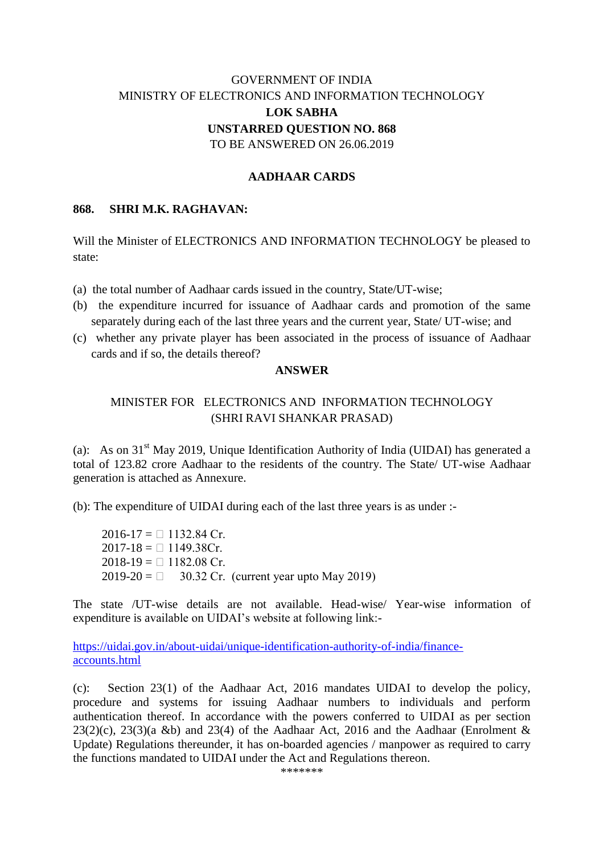# GOVERNMENT OF INDIA MINISTRY OF ELECTRONICS AND INFORMATION TECHNOLOGY **LOK SABHA UNSTARRED QUESTION NO. 868** TO BE ANSWERED ON 26.06.2019

### **AADHAAR CARDS**

### **868. SHRI M.K. RAGHAVAN:**

Will the Minister of ELECTRONICS AND INFORMATION TECHNOLOGY be pleased to state:

(a) the total number of Aadhaar cards issued in the country, State/UT-wise;

- (b) the expenditure incurred for issuance of Aadhaar cards and promotion of the same separately during each of the last three years and the current year, State/ UT-wise; and
- (c) whether any private player has been associated in the process of issuance of Aadhaar cards and if so, the details thereof?

#### **ANSWER**

## MINISTER FOR ELECTRONICS AND INFORMATION TECHNOLOGY (SHRI RAVI SHANKAR PRASAD)

(a):As on 31st May 2019, Unique Identification Authority of India (UIDAI) has generated a total of 123.82 crore Aadhaar to the residents of the country. The State/ UT-wise Aadhaar generation is attached as Annexure.

(b): The expenditure of UIDAI during each of the last three years is as under :-

 $2016-17 = 1132.84$  Cr.  $2017-18 = 1149.38Cr.$  $2018-19 = 1182.08$  Cr.  $2019-20 = 30.32$  Cr. (current year upto May 2019)

The state /UT-wise details are not available. Head-wise/ Year-wise information of expenditure is available on UIDAI's website at following link:-

[https://uidai.gov.in/about-uidai/unique-identification-authority-of-india/finance](https://uidai.gov.in/about-uidai/unique-identification-authority-of-india/finance-accounts.html)[accounts.html](https://uidai.gov.in/about-uidai/unique-identification-authority-of-india/finance-accounts.html)

(c): Section 23(1) of the Aadhaar Act, 2016 mandates UIDAI to develop the policy, procedure and systems for issuing Aadhaar numbers to individuals and perform authentication thereof. In accordance with the powers conferred to UIDAI as per section  $23(2)(c)$ ,  $23(3)(a \& b)$  and  $23(4)$  of the Aadhaar Act, 2016 and the Aadhaar (Enrolment & Update) Regulations thereunder, it has on-boarded agencies / manpower as required to carry the functions mandated to UIDAI under the Act and Regulations thereon.

\*\*\*\*\*\*\*